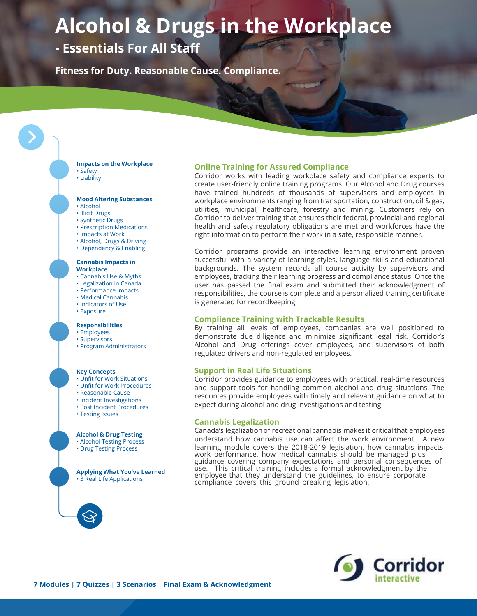# **Alcohol & Drugs in the Workplace**

# **- Essentials For All Staff**

**Fitness for Duty. Reasonable Cause. Compliance.**